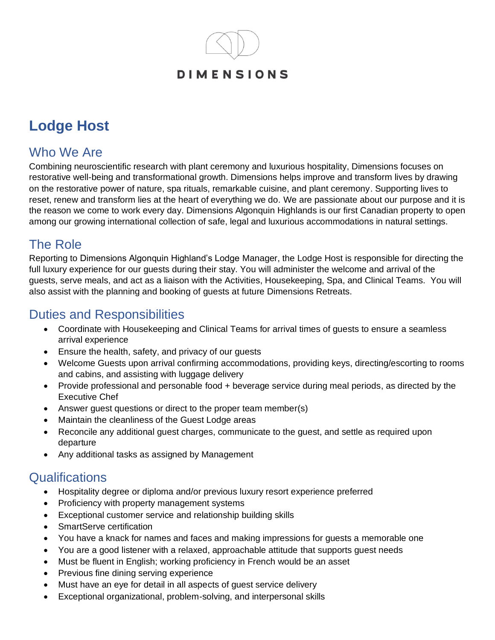## **DIMENSIONS**

# **Lodge Host**

## Who We Are

Combining neuroscientific research with plant ceremony and luxurious hospitality, Dimensions focuses on restorative well-being and transformational growth. Dimensions helps improve and transform lives by drawing on the restorative power of nature, spa rituals, remarkable cuisine, and plant ceremony. Supporting lives to reset, renew and transform lies at the heart of everything we do. We are passionate about our purpose and it is the reason we come to work every day. Dimensions Algonquin Highlands is our first Canadian property to open among our growing international collection of safe, legal and luxurious accommodations in natural settings.

### The Role

Reporting to Dimensions Algonquin Highland's Lodge Manager, the Lodge Host is responsible for directing the full luxury experience for our guests during their stay. You will administer the welcome and arrival of the guests, serve meals, and act as a liaison with the Activities, Housekeeping, Spa, and Clinical Teams. You will also assist with the planning and booking of guests at future Dimensions Retreats.

# Duties and Responsibilities

- Coordinate with Housekeeping and Clinical Teams for arrival times of guests to ensure a seamless arrival experience
- Ensure the health, safety, and privacy of our guests
- Welcome Guests upon arrival confirming accommodations, providing keys, directing/escorting to rooms and cabins, and assisting with luggage delivery
- Provide professional and personable food + beverage service during meal periods, as directed by the Executive Chef
- Answer guest questions or direct to the proper team member(s)
- Maintain the cleanliness of the Guest Lodge areas
- Reconcile any additional guest charges, communicate to the guest, and settle as required upon departure
- Any additional tasks as assigned by Management

# **Qualifications**

- Hospitality degree or diploma and/or previous luxury resort experience preferred
- Proficiency with property management systems
- Exceptional customer service and relationship building skills
- SmartServe certification
- You have a knack for names and faces and making impressions for guests a memorable one
- You are a good listener with a relaxed, approachable attitude that supports guest needs
- Must be fluent in English; working proficiency in French would be an asset
- Previous fine dining serving experience
- Must have an eye for detail in all aspects of guest service delivery
- Exceptional organizational, problem-solving, and interpersonal skills